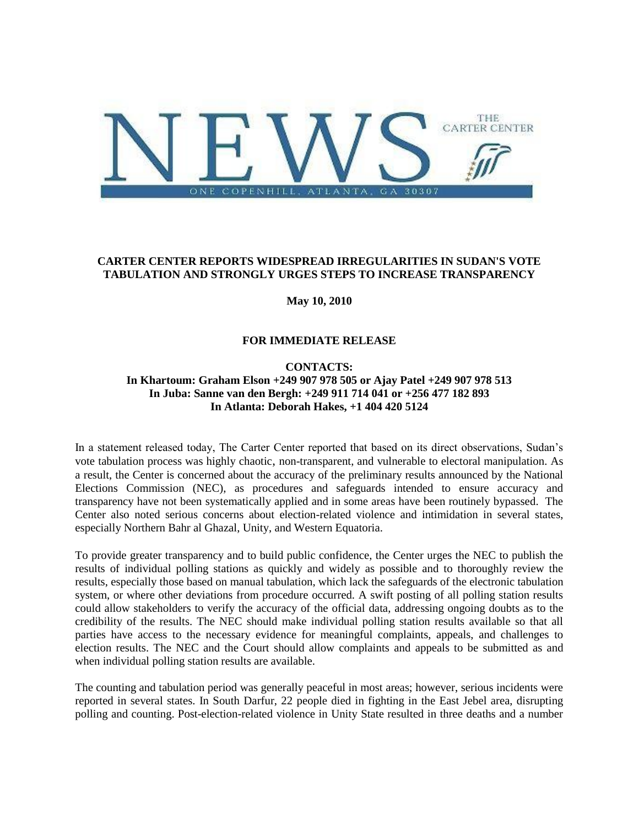

# **CARTER CENTER REPORTS WIDESPREAD IRREGULARITIES IN SUDAN'S VOTE TABULATION AND STRONGLY URGES STEPS TO INCREASE TRANSPARENCY**

**May 10, 2010**

# **FOR IMMEDIATE RELEASE**

# **CONTACTS: In Khartoum: Graham Elson +249 907 978 505 or Ajay Patel +249 907 978 513 In Juba: Sanne van den Bergh: +249 911 714 041 or +256 477 182 893 In Atlanta: Deborah Hakes, +1 404 420 5124**

In a statement released today, The Carter Center reported that based on its direct observations, Sudan's vote tabulation process was highly chaotic, non-transparent, and vulnerable to electoral manipulation. As a result, the Center is concerned about the accuracy of the preliminary results announced by the National Elections Commission (NEC), as procedures and safeguards intended to ensure accuracy and transparency have not been systematically applied and in some areas have been routinely bypassed. The Center also noted serious concerns about election-related violence and intimidation in several states, especially Northern Bahr al Ghazal, Unity, and Western Equatoria.

To provide greater transparency and to build public confidence, the Center urges the NEC to publish the results of individual polling stations as quickly and widely as possible and to thoroughly review the results, especially those based on manual tabulation, which lack the safeguards of the electronic tabulation system, or where other deviations from procedure occurred. A swift posting of all polling station results could allow stakeholders to verify the accuracy of the official data, addressing ongoing doubts as to the credibility of the results. The NEC should make individual polling station results available so that all parties have access to the necessary evidence for meaningful complaints, appeals, and challenges to election results. The NEC and the Court should allow complaints and appeals to be submitted as and when individual polling station results are available.

The counting and tabulation period was generally peaceful in most areas; however, serious incidents were reported in several states. In South Darfur, 22 people died in fighting in the East Jebel area, disrupting polling and counting. Post-election-related violence in Unity State resulted in three deaths and a number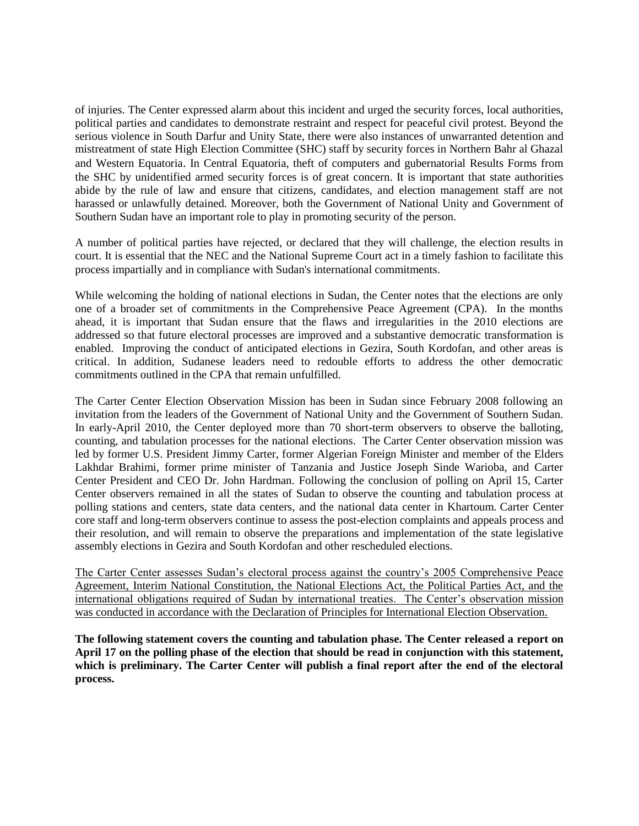of injuries. The Center expressed alarm about this incident and urged the security forces, local authorities, political parties and candidates to demonstrate restraint and respect for peaceful civil protest. Beyond the serious violence in South Darfur and Unity State, there were also instances of unwarranted detention and mistreatment of state High Election Committee (SHC) staff by security forces in Northern Bahr al Ghazal and Western Equatoria. In Central Equatoria, theft of computers and gubernatorial Results Forms from the SHC by unidentified armed security forces is of great concern. It is important that state authorities abide by the rule of law and ensure that citizens, candidates, and election management staff are not harassed or unlawfully detained. Moreover, both the Government of National Unity and Government of Southern Sudan have an important role to play in promoting security of the person.

A number of political parties have rejected, or declared that they will challenge, the election results in court. It is essential that the NEC and the National Supreme Court act in a timely fashion to facilitate this process impartially and in compliance with Sudan's international commitments.

While welcoming the holding of national elections in Sudan, the Center notes that the elections are only one of a broader set of commitments in the Comprehensive Peace Agreement (CPA). In the months ahead, it is important that Sudan ensure that the flaws and irregularities in the 2010 elections are addressed so that future electoral processes are improved and a substantive democratic transformation is enabled. Improving the conduct of anticipated elections in Gezira, South Kordofan, and other areas is critical. In addition, Sudanese leaders need to redouble efforts to address the other democratic commitments outlined in the CPA that remain unfulfilled.

The Carter Center Election Observation Mission has been in Sudan since February 2008 following an invitation from the leaders of the Government of National Unity and the Government of Southern Sudan. In early-April 2010, the Center deployed more than 70 short-term observers to observe the balloting, counting, and tabulation processes for the national elections. The Carter Center observation mission was led by former U.S. President Jimmy Carter, former Algerian Foreign Minister and member of the Elders Lakhdar Brahimi, former prime minister of Tanzania and Justice Joseph Sinde Warioba, and Carter Center President and CEO Dr. John Hardman. Following the conclusion of polling on April 15, Carter Center observers remained in all the states of Sudan to observe the counting and tabulation process at polling stations and centers, state data centers, and the national data center in Khartoum. Carter Center core staff and long-term observers continue to assess the post-election complaints and appeals process and their resolution, and will remain to observe the preparations and implementation of the state legislative assembly elections in Gezira and South Kordofan and other rescheduled elections.

The Carter Center assesses Sudan's electoral process against the country's 2005 Comprehensive Peace Agreement, Interim National Constitution, the National Elections Act, the Political Parties Act, and the international obligations required of Sudan by international treaties. The Center's observation mission was conducted in accordance with the Declaration of Principles for International Election Observation.

**The following statement covers the counting and tabulation phase. The Center released a report on April 17 on the polling phase of the election that should be read in conjunction with this statement, which is preliminary. The Carter Center will publish a final report after the end of the electoral process.**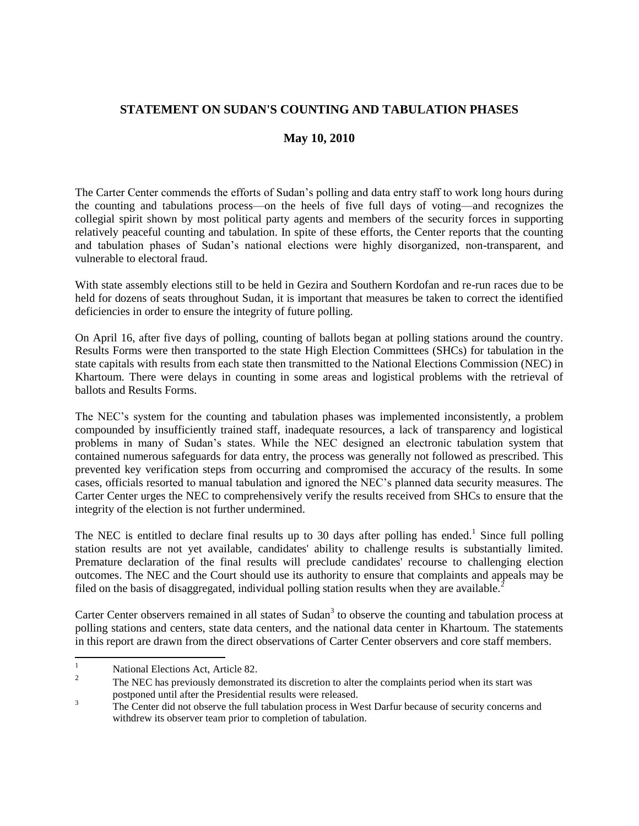# **STATEMENT ON SUDAN'S COUNTING AND TABULATION PHASES**

# **May 10, 2010**

The Carter Center commends the efforts of Sudan's polling and data entry staff to work long hours during the counting and tabulations process—on the heels of five full days of voting—and recognizes the collegial spirit shown by most political party agents and members of the security forces in supporting relatively peaceful counting and tabulation. In spite of these efforts, the Center reports that the counting and tabulation phases of Sudan's national elections were highly disorganized, non-transparent, and vulnerable to electoral fraud.

With state assembly elections still to be held in Gezira and Southern Kordofan and re-run races due to be held for dozens of seats throughout Sudan, it is important that measures be taken to correct the identified deficiencies in order to ensure the integrity of future polling.

On April 16, after five days of polling, counting of ballots began at polling stations around the country. Results Forms were then transported to the state High Election Committees (SHCs) for tabulation in the state capitals with results from each state then transmitted to the National Elections Commission (NEC) in Khartoum. There were delays in counting in some areas and logistical problems with the retrieval of ballots and Results Forms.

The NEC's system for the counting and tabulation phases was implemented inconsistently, a problem compounded by insufficiently trained staff, inadequate resources, a lack of transparency and logistical problems in many of Sudan's states. While the NEC designed an electronic tabulation system that contained numerous safeguards for data entry, the process was generally not followed as prescribed. This prevented key verification steps from occurring and compromised the accuracy of the results. In some cases, officials resorted to manual tabulation and ignored the NEC's planned data security measures. The Carter Center urges the NEC to comprehensively verify the results received from SHCs to ensure that the integrity of the election is not further undermined.

The NEC is entitled to declare final results up to 30 days after polling has ended.<sup>1</sup> Since full polling station results are not yet available, candidates' ability to challenge results is substantially limited. Premature declaration of the final results will preclude candidates' recourse to challenging election outcomes. The NEC and the Court should use its authority to ensure that complaints and appeals may be filed on the basis of disaggregated, individual polling station results when they are available.<sup>2</sup>

Carter Center observers remained in all states of Sudan<sup>3</sup> to observe the counting and tabulation process at polling stations and centers, state data centers, and the national data center in Khartoum. The statements in this report are drawn from the direct observations of Carter Center observers and core staff members.

 $\mathbf{1}$ National Elections Act, Article 82.

<sup>2</sup> The NEC has previously demonstrated its discretion to alter the complaints period when its start was postponed until after the Presidential results were released.

<sup>&</sup>lt;sup>3</sup><br>The Center did not observe the full tabulation process in West Darfur because of security concerns and withdrew its observer team prior to completion of tabulation.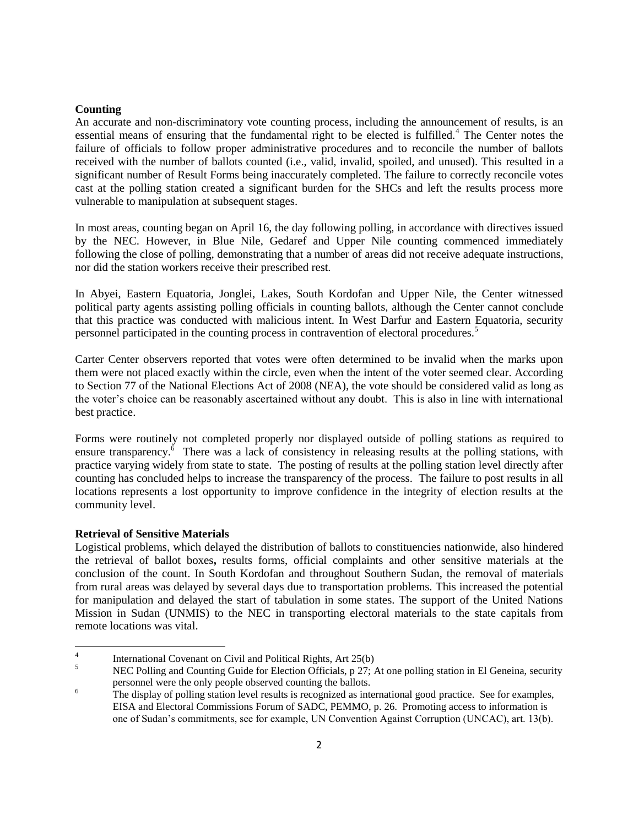## **Counting**

An accurate and non-discriminatory vote counting process, including the announcement of results, is an essential means of ensuring that the fundamental right to be elected is fulfilled.<sup>4</sup> The Center notes the failure of officials to follow proper administrative procedures and to reconcile the number of ballots received with the number of ballots counted (i.e., valid, invalid, spoiled, and unused). This resulted in a significant number of Result Forms being inaccurately completed. The failure to correctly reconcile votes cast at the polling station created a significant burden for the SHCs and left the results process more vulnerable to manipulation at subsequent stages.

In most areas, counting began on April 16, the day following polling, in accordance with directives issued by the NEC. However, in Blue Nile, Gedaref and Upper Nile counting commenced immediately following the close of polling, demonstrating that a number of areas did not receive adequate instructions, nor did the station workers receive their prescribed rest.

In Abyei, Eastern Equatoria, Jonglei, Lakes, South Kordofan and Upper Nile, the Center witnessed political party agents assisting polling officials in counting ballots, although the Center cannot conclude that this practice was conducted with malicious intent. In West Darfur and Eastern Equatoria, security personnel participated in the counting process in contravention of electoral procedures.<sup>5</sup>

Carter Center observers reported that votes were often determined to be invalid when the marks upon them were not placed exactly within the circle, even when the intent of the voter seemed clear. According to Section 77 of the National Elections Act of 2008 (NEA), the vote should be considered valid as long as the voter's choice can be reasonably ascertained without any doubt. This is also in line with international best practice.

Forms were routinely not completed properly nor displayed outside of polling stations as required to ensure transparency.<sup>6</sup> There was a lack of consistency in releasing results at the polling stations, with practice varying widely from state to state. The posting of results at the polling station level directly after counting has concluded helps to increase the transparency of the process. The failure to post results in all locations represents a lost opportunity to improve confidence in the integrity of election results at the community level.

## **Retrieval of Sensitive Materials**

Logistical problems, which delayed the distribution of ballots to constituencies nationwide, also hindered the retrieval of ballot boxes**,** results forms, official complaints and other sensitive materials at the conclusion of the count. In South Kordofan and throughout Southern Sudan, the removal of materials from rural areas was delayed by several days due to transportation problems. This increased the potential for manipulation and delayed the start of tabulation in some states. The support of the United Nations Mission in Sudan (UNMIS) to the NEC in transporting electoral materials to the state capitals from remote locations was vital.

 $\frac{1}{4}$ International Covenant on Civil and Political Rights, Art 25(b)

<sup>&</sup>lt;sup>5</sup> NEC Polling and Counting Guide for Election Officials, p  $27$ ; At one polling station in El Geneina, security personnel were the only people observed counting the ballots.

<sup>&</sup>lt;sup>6</sup> The display of polling station level results is recognized as international good practice. See for examples, EISA and Electoral Commissions Forum of SADC, PEMMO, p. 26. Promoting access to information is one of Sudan's commitments, see for example, UN Convention Against Corruption (UNCAC), art. 13(b).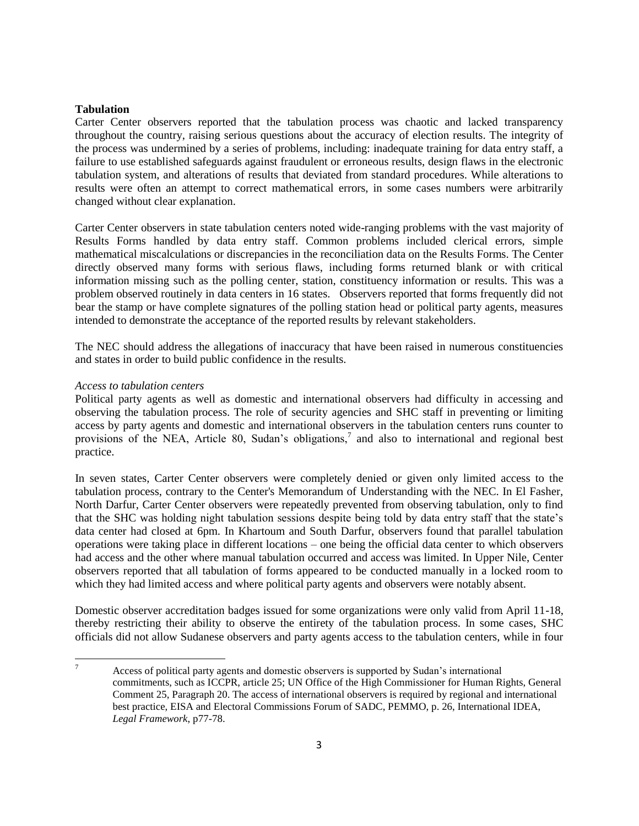### **Tabulation**

Carter Center observers reported that the tabulation process was chaotic and lacked transparency throughout the country, raising serious questions about the accuracy of election results. The integrity of the process was undermined by a series of problems, including: inadequate training for data entry staff, a failure to use established safeguards against fraudulent or erroneous results, design flaws in the electronic tabulation system, and alterations of results that deviated from standard procedures. While alterations to results were often an attempt to correct mathematical errors, in some cases numbers were arbitrarily changed without clear explanation.

Carter Center observers in state tabulation centers noted wide-ranging problems with the vast majority of Results Forms handled by data entry staff. Common problems included clerical errors, simple mathematical miscalculations or discrepancies in the reconciliation data on the Results Forms. The Center directly observed many forms with serious flaws, including forms returned blank or with critical information missing such as the polling center, station, constituency information or results. This was a problem observed routinely in data centers in 16 states. Observers reported that forms frequently did not bear the stamp or have complete signatures of the polling station head or political party agents, measures intended to demonstrate the acceptance of the reported results by relevant stakeholders.

The NEC should address the allegations of inaccuracy that have been raised in numerous constituencies and states in order to build public confidence in the results.

#### *Access to tabulation centers*

Political party agents as well as domestic and international observers had difficulty in accessing and observing the tabulation process. The role of security agencies and SHC staff in preventing or limiting access by party agents and domestic and international observers in the tabulation centers runs counter to provisions of the NEA, Article 80, Sudan's obligations,<sup>7</sup> and also to international and regional best practice.

In seven states, Carter Center observers were completely denied or given only limited access to the tabulation process, contrary to the Center's Memorandum of Understanding with the NEC. In El Fasher, North Darfur, Carter Center observers were repeatedly prevented from observing tabulation, only to find that the SHC was holding night tabulation sessions despite being told by data entry staff that the state's data center had closed at 6pm. In Khartoum and South Darfur, observers found that parallel tabulation operations were taking place in different locations – one being the official data center to which observers had access and the other where manual tabulation occurred and access was limited. In Upper Nile, Center observers reported that all tabulation of forms appeared to be conducted manually in a locked room to which they had limited access and where political party agents and observers were notably absent.

Domestic observer accreditation badges issued for some organizations were only valid from April 11-18, thereby restricting their ability to observe the entirety of the tabulation process. In some cases, SHC officials did not allow Sudanese observers and party agents access to the tabulation centers, while in four

 $\overline{7}$ Access of political party agents and domestic observers is supported by Sudan's international commitments, such as ICCPR, article 25; UN Office of the High Commissioner for Human Rights, General Comment 25, Paragraph 20. The access of international observers is required by regional and international best practice, EISA and Electoral Commissions Forum of SADC, PEMMO, p. 26, International IDEA, *Legal Framework*, p77-78.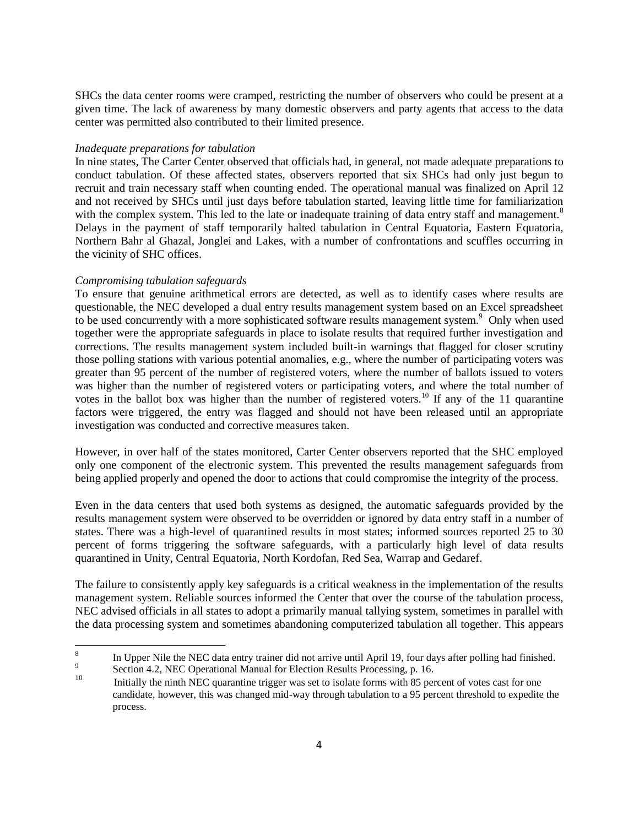SHCs the data center rooms were cramped, restricting the number of observers who could be present at a given time. The lack of awareness by many domestic observers and party agents that access to the data center was permitted also contributed to their limited presence.

## *Inadequate preparations for tabulation*

In nine states, The Carter Center observed that officials had, in general, not made adequate preparations to conduct tabulation. Of these affected states, observers reported that six SHCs had only just begun to recruit and train necessary staff when counting ended. The operational manual was finalized on April 12 and not received by SHCs until just days before tabulation started, leaving little time for familiarization with the complex system. This led to the late or inadequate training of data entry staff and management.<sup>8</sup> Delays in the payment of staff temporarily halted tabulation in Central Equatoria, Eastern Equatoria, Northern Bahr al Ghazal, Jonglei and Lakes, with a number of confrontations and scuffles occurring in the vicinity of SHC offices.

# *Compromising tabulation safeguards*

To ensure that genuine arithmetical errors are detected, as well as to identify cases where results are questionable, the NEC developed a dual entry results management system based on an Excel spreadsheet to be used concurrently with a more sophisticated software results management system.<sup>9</sup> Only when used together were the appropriate safeguards in place to isolate results that required further investigation and corrections. The results management system included built-in warnings that flagged for closer scrutiny those polling stations with various potential anomalies, e.g., where the number of participating voters was greater than 95 percent of the number of registered voters, where the number of ballots issued to voters was higher than the number of registered voters or participating voters, and where the total number of votes in the ballot box was higher than the number of registered voters.<sup>10</sup> If any of the 11 quarantine factors were triggered, the entry was flagged and should not have been released until an appropriate investigation was conducted and corrective measures taken.

However, in over half of the states monitored, Carter Center observers reported that the SHC employed only one component of the electronic system. This prevented the results management safeguards from being applied properly and opened the door to actions that could compromise the integrity of the process.

Even in the data centers that used both systems as designed, the automatic safeguards provided by the results management system were observed to be overridden or ignored by data entry staff in a number of states. There was a high-level of quarantined results in most states; informed sources reported 25 to 30 percent of forms triggering the software safeguards, with a particularly high level of data results quarantined in Unity, Central Equatoria, North Kordofan, Red Sea, Warrap and Gedaref.

The failure to consistently apply key safeguards is a critical weakness in the implementation of the results management system. Reliable sources informed the Center that over the course of the tabulation process, NEC advised officials in all states to adopt a primarily manual tallying system, sometimes in parallel with the data processing system and sometimes abandoning computerized tabulation all together. This appears

 8 In Upper Nile the NEC data entry trainer did not arrive until April 19, four days after polling had finished.

<sup>9</sup> Section 4.2, NEC Operational Manual for Election Results Processing, p. 16.

<sup>10</sup> Initially the ninth NEC quarantine trigger was set to isolate forms with 85 percent of votes cast for one candidate, however, this was changed mid-way through tabulation to a 95 percent threshold to expedite the process.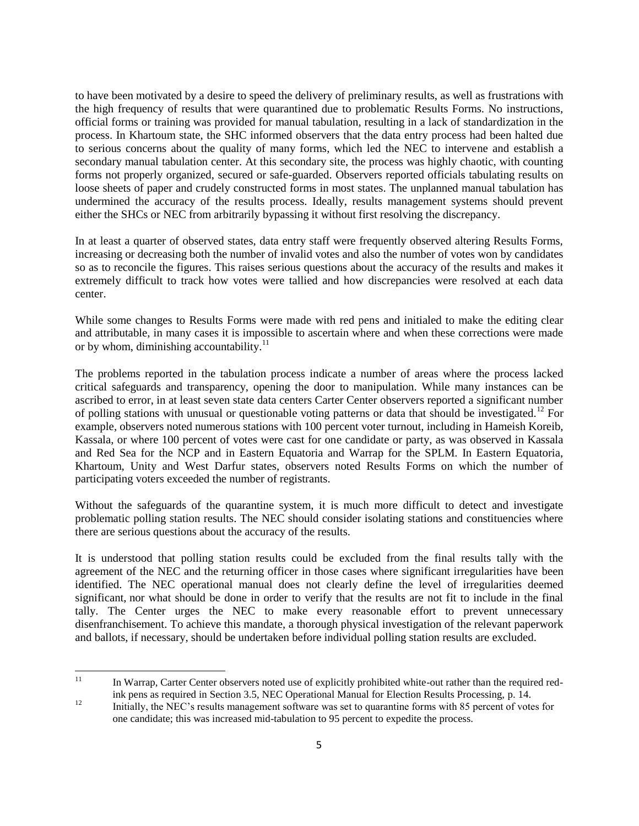to have been motivated by a desire to speed the delivery of preliminary results, as well as frustrations with the high frequency of results that were quarantined due to problematic Results Forms. No instructions, official forms or training was provided for manual tabulation, resulting in a lack of standardization in the process. In Khartoum state, the SHC informed observers that the data entry process had been halted due to serious concerns about the quality of many forms, which led the NEC to intervene and establish a secondary manual tabulation center. At this secondary site, the process was highly chaotic, with counting forms not properly organized, secured or safe-guarded. Observers reported officials tabulating results on loose sheets of paper and crudely constructed forms in most states. The unplanned manual tabulation has undermined the accuracy of the results process. Ideally, results management systems should prevent either the SHCs or NEC from arbitrarily bypassing it without first resolving the discrepancy.

In at least a quarter of observed states, data entry staff were frequently observed altering Results Forms, increasing or decreasing both the number of invalid votes and also the number of votes won by candidates so as to reconcile the figures. This raises serious questions about the accuracy of the results and makes it extremely difficult to track how votes were tallied and how discrepancies were resolved at each data center.

While some changes to Results Forms were made with red pens and initialed to make the editing clear and attributable, in many cases it is impossible to ascertain where and when these corrections were made or by whom, diminishing accountability. $^{11}$ 

The problems reported in the tabulation process indicate a number of areas where the process lacked critical safeguards and transparency, opening the door to manipulation. While many instances can be ascribed to error, in at least seven state data centers Carter Center observers reported a significant number of polling stations with unusual or questionable voting patterns or data that should be investigated.<sup>12</sup> For example, observers noted numerous stations with 100 percent voter turnout, including in Hameish Koreib, Kassala, or where 100 percent of votes were cast for one candidate or party, as was observed in Kassala and Red Sea for the NCP and in Eastern Equatoria and Warrap for the SPLM. In Eastern Equatoria, Khartoum, Unity and West Darfur states, observers noted Results Forms on which the number of participating voters exceeded the number of registrants.

Without the safeguards of the quarantine system, it is much more difficult to detect and investigate problematic polling station results. The NEC should consider isolating stations and constituencies where there are serious questions about the accuracy of the results.

It is understood that polling station results could be excluded from the final results tally with the agreement of the NEC and the returning officer in those cases where significant irregularities have been identified. The NEC operational manual does not clearly define the level of irregularities deemed significant, nor what should be done in order to verify that the results are not fit to include in the final tally. The Center urges the NEC to make every reasonable effort to prevent unnecessary disenfranchisement. To achieve this mandate, a thorough physical investigation of the relevant paperwork and ballots, if necessary, should be undertaken before individual polling station results are excluded.

 $11$ <sup>11</sup> In Warrap, Carter Center observers noted use of explicitly prohibited white-out rather than the required redink pens as required in Section 3.5, NEC Operational Manual for Election Results Processing, p. 14.

<sup>&</sup>lt;sup>12</sup> Initially, the NEC's results management software was set to quarantine forms with 85 percent of votes for one candidate; this was increased mid-tabulation to 95 percent to expedite the process.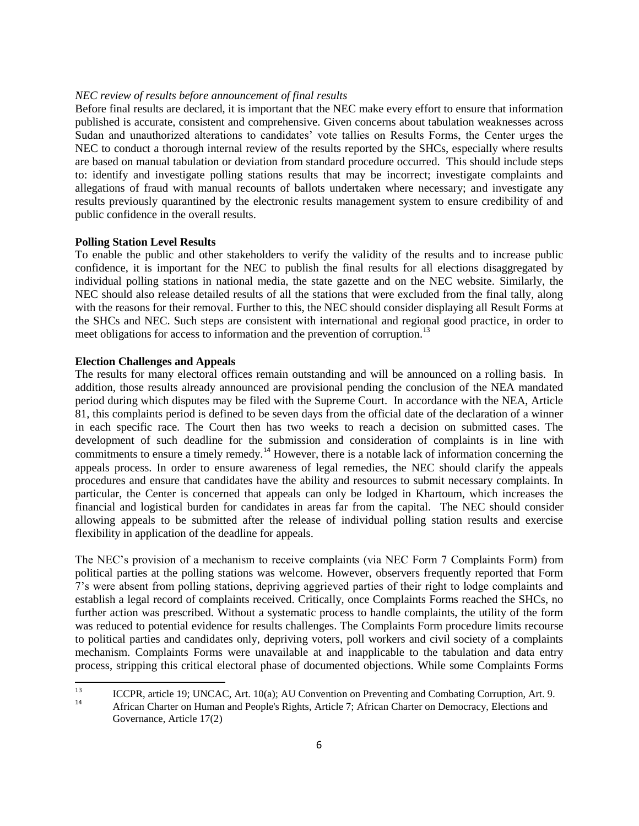#### *NEC review of results before announcement of final results*

Before final results are declared, it is important that the NEC make every effort to ensure that information published is accurate, consistent and comprehensive. Given concerns about tabulation weaknesses across Sudan and unauthorized alterations to candidates' vote tallies on Results Forms, the Center urges the NEC to conduct a thorough internal review of the results reported by the SHCs, especially where results are based on manual tabulation or deviation from standard procedure occurred. This should include steps to: identify and investigate polling stations results that may be incorrect; investigate complaints and allegations of fraud with manual recounts of ballots undertaken where necessary; and investigate any results previously quarantined by the electronic results management system to ensure credibility of and public confidence in the overall results.

#### **Polling Station Level Results**

To enable the public and other stakeholders to verify the validity of the results and to increase public confidence, it is important for the NEC to publish the final results for all elections disaggregated by individual polling stations in national media, the state gazette and on the NEC website. Similarly, the NEC should also release detailed results of all the stations that were excluded from the final tally, along with the reasons for their removal. Further to this, the NEC should consider displaying all Result Forms at the SHCs and NEC. Such steps are consistent with international and regional good practice, in order to meet obligations for access to information and the prevention of corruption.<sup>13</sup>

# **Election Challenges and Appeals**

The results for many electoral offices remain outstanding and will be announced on a rolling basis. In addition, those results already announced are provisional pending the conclusion of the NEA mandated period during which disputes may be filed with the Supreme Court. In accordance with the NEA, Article 81, this complaints period is defined to be seven days from the official date of the declaration of a winner in each specific race. The Court then has two weeks to reach a decision on submitted cases. The development of such deadline for the submission and consideration of complaints is in line with commitments to ensure a timely remedy.<sup>14</sup> However, there is a notable lack of information concerning the appeals process. In order to ensure awareness of legal remedies, the NEC should clarify the appeals procedures and ensure that candidates have the ability and resources to submit necessary complaints. In particular, the Center is concerned that appeals can only be lodged in Khartoum, which increases the financial and logistical burden for candidates in areas far from the capital. The NEC should consider allowing appeals to be submitted after the release of individual polling station results and exercise flexibility in application of the deadline for appeals.

The NEC's provision of a mechanism to receive complaints (via NEC Form 7 Complaints Form) from political parties at the polling stations was welcome. However, observers frequently reported that Form 7's were absent from polling stations, depriving aggrieved parties of their right to lodge complaints and establish a legal record of complaints received. Critically, once Complaints Forms reached the SHCs, no further action was prescribed. Without a systematic process to handle complaints, the utility of the form was reduced to potential evidence for results challenges. The Complaints Form procedure limits recourse to political parties and candidates only, depriving voters, poll workers and civil society of a complaints mechanism. Complaints Forms were unavailable at and inapplicable to the tabulation and data entry process, stripping this critical electoral phase of documented objections. While some Complaints Forms

<sup>13</sup> <sup>13</sup> ICCPR, article 19; UNCAC, Art. 10(a); AU Convention on Preventing and Combating Corruption, Art. 9. African Charter on Human and People's Rights, Article 7; African Charter on Democracy, Elections and Governance, Article 17(2)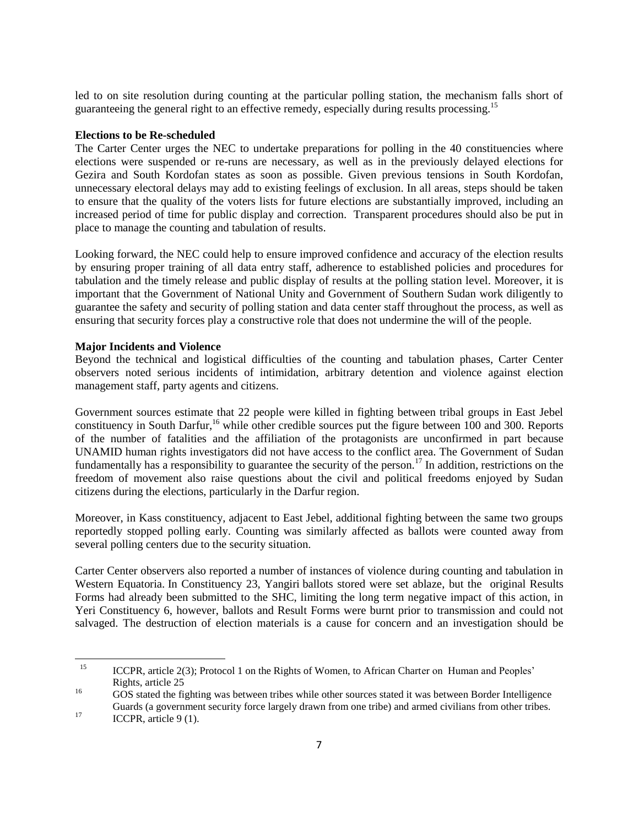led to on site resolution during counting at the particular polling station, the mechanism falls short of guaranteeing the general right to an effective remedy, especially during results processing.<sup>15</sup>

## **Elections to be Re-scheduled**

The Carter Center urges the NEC to undertake preparations for polling in the 40 constituencies where elections were suspended or re-runs are necessary, as well as in the previously delayed elections for Gezira and South Kordofan states as soon as possible. Given previous tensions in South Kordofan, unnecessary electoral delays may add to existing feelings of exclusion. In all areas, steps should be taken to ensure that the quality of the voters lists for future elections are substantially improved, including an increased period of time for public display and correction. Transparent procedures should also be put in place to manage the counting and tabulation of results.

Looking forward, the NEC could help to ensure improved confidence and accuracy of the election results by ensuring proper training of all data entry staff, adherence to established policies and procedures for tabulation and the timely release and public display of results at the polling station level. Moreover, it is important that the Government of National Unity and Government of Southern Sudan work diligently to guarantee the safety and security of polling station and data center staff throughout the process, as well as ensuring that security forces play a constructive role that does not undermine the will of the people.

#### **Major Incidents and Violence**

Beyond the technical and logistical difficulties of the counting and tabulation phases, Carter Center observers noted serious incidents of intimidation, arbitrary detention and violence against election management staff, party agents and citizens.

Government sources estimate that 22 people were killed in fighting between tribal groups in East Jebel constituency in South Darfur,<sup>16</sup> while other credible sources put the figure between 100 and 300. Reports of the number of fatalities and the affiliation of the protagonists are unconfirmed in part because UNAMID human rights investigators did not have access to the conflict area. The Government of Sudan fundamentally has a responsibility to guarantee the security of the person.<sup>17</sup> In addition, restrictions on the freedom of movement also raise questions about the civil and political freedoms enjoyed by Sudan citizens during the elections, particularly in the Darfur region.

Moreover, in Kass constituency, adjacent to East Jebel, additional fighting between the same two groups reportedly stopped polling early. Counting was similarly affected as ballots were counted away from several polling centers due to the security situation.

Carter Center observers also reported a number of instances of violence during counting and tabulation in Western Equatoria. In Constituency 23, Yangiri ballots stored were set ablaze, but the original Results Forms had already been submitted to the SHC, limiting the long term negative impact of this action, in Yeri Constituency 6, however, ballots and Result Forms were burnt prior to transmission and could not salvaged. The destruction of election materials is a cause for concern and an investigation should be

 $\overline{\phantom{a}}$ 

<sup>&</sup>lt;sup>15</sup> ICCPR, article 2(3); Protocol 1 on the Rights of Women, to African Charter on Human and Peoples' Rights, article 25

<sup>&</sup>lt;sup>16</sup> GOS stated the fighting was between tribes while other sources stated it was between Border Intelligence Guards (a government security force largely drawn from one tribe) and armed civilians from other tribes.

<sup>&</sup>lt;sup>17</sup> ICCPR, article 9 (1).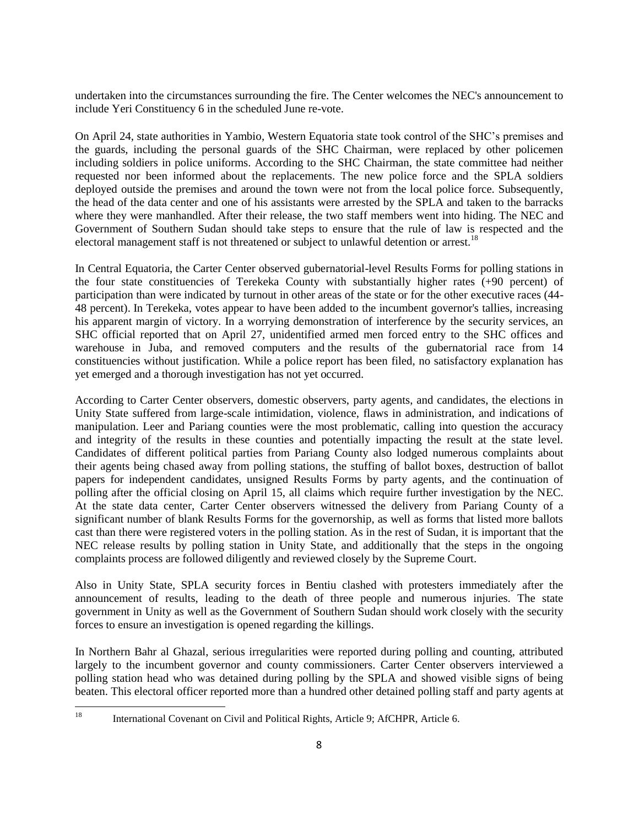undertaken into the circumstances surrounding the fire. The Center welcomes the NEC's announcement to include Yeri Constituency 6 in the scheduled June re-vote.

On April 24, state authorities in Yambio, Western Equatoria state took control of the SHC's premises and the guards, including the personal guards of the SHC Chairman, were replaced by other policemen including soldiers in police uniforms. According to the SHC Chairman, the state committee had neither requested nor been informed about the replacements. The new police force and the SPLA soldiers deployed outside the premises and around the town were not from the local police force. Subsequently, the head of the data center and one of his assistants were arrested by the SPLA and taken to the barracks where they were manhandled. After their release, the two staff members went into hiding. The NEC and Government of Southern Sudan should take steps to ensure that the rule of law is respected and the electoral management staff is not threatened or subject to unlawful detention or arrest.<sup>18</sup>

In Central Equatoria, the Carter Center observed gubernatorial-level Results Forms for polling stations in the four state constituencies of Terekeka County with substantially higher rates (+90 percent) of participation than were indicated by turnout in other areas of the state or for the other executive races (44- 48 percent). In Terekeka, votes appear to have been added to the incumbent governor's tallies, increasing his apparent margin of victory. In a worrying demonstration of interference by the security services, an SHC official reported that on April 27, unidentified armed men forced entry to the SHC offices and warehouse in Juba, and removed computers and the results of the gubernatorial race from 14 constituencies without justification. While a police report has been filed, no satisfactory explanation has yet emerged and a thorough investigation has not yet occurred.

According to Carter Center observers, domestic observers, party agents, and candidates, the elections in Unity State suffered from large-scale intimidation, violence, flaws in administration, and indications of manipulation. Leer and Pariang counties were the most problematic, calling into question the accuracy and integrity of the results in these counties and potentially impacting the result at the state level. Candidates of different political parties from Pariang County also lodged numerous complaints about their agents being chased away from polling stations, the stuffing of ballot boxes, destruction of ballot papers for independent candidates, unsigned Results Forms by party agents, and the continuation of polling after the official closing on April 15, all claims which require further investigation by the NEC. At the state data center, Carter Center observers witnessed the delivery from Pariang County of a significant number of blank Results Forms for the governorship, as well as forms that listed more ballots cast than there were registered voters in the polling station. As in the rest of Sudan, it is important that the NEC release results by polling station in Unity State, and additionally that the steps in the ongoing complaints process are followed diligently and reviewed closely by the Supreme Court.

Also in Unity State, SPLA security forces in Bentiu clashed with protesters immediately after the announcement of results, leading to the death of three people and numerous injuries. The state government in Unity as well as the Government of Southern Sudan should work closely with the security forces to ensure an investigation is opened regarding the killings.

In Northern Bahr al Ghazal, serious irregularities were reported during polling and counting, attributed largely to the incumbent governor and county commissioners. Carter Center observers interviewed a polling station head who was detained during polling by the SPLA and showed visible signs of being beaten. This electoral officer reported more than a hundred other detained polling staff and party agents at

<sup>18</sup> International Covenant on Civil and Political Rights, Article 9; AfCHPR, Article 6.